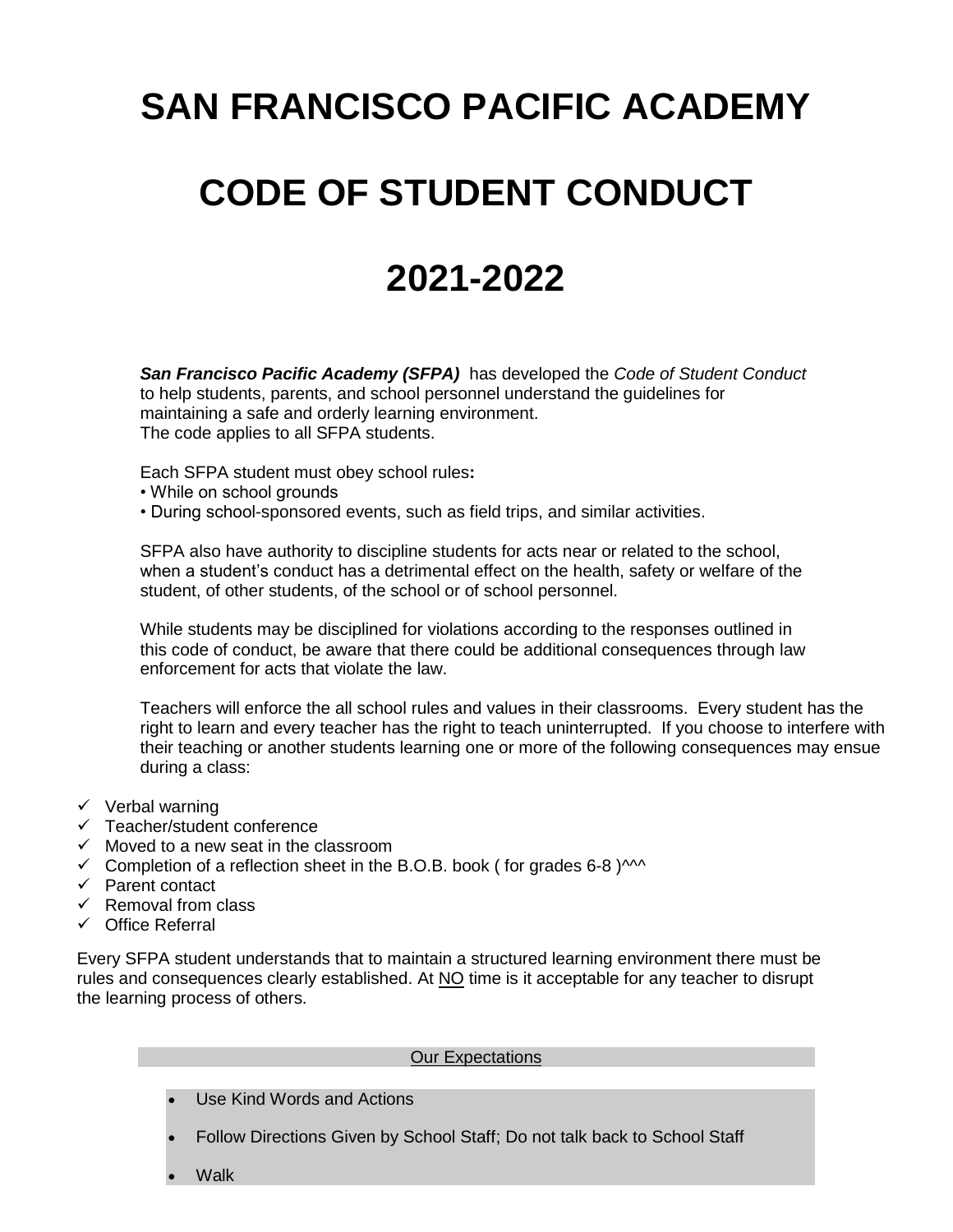# **SAN FRANCISCO PACIFIC ACADEMY**

# **CODE OF STUDENT CONDUCT**

# **2021-2022**

*San Francisco Pacific Academy (SFPA)* has developed the *Code of Student Conduct*  to help students, parents, and school personnel understand the guidelines for maintaining a safe and orderly learning environment. The code applies to all SFPA students.

Each SFPA student must obey school rules**:**

- While on school grounds
- During school-sponsored events, such as field trips, and similar activities.

SFPA also have authority to discipline students for acts near or related to the school, when a student's conduct has a detrimental effect on the health, safety or welfare of the student, of other students, of the school or of school personnel.

While students may be disciplined for violations according to the responses outlined in this code of conduct, be aware that there could be additional consequences through law enforcement for acts that violate the law.

Teachers will enforce the all school rules and values in their classrooms. Every student has the right to learn and every teacher has the right to teach uninterrupted. If you choose to interfere with their teaching or another students learning one or more of the following consequences may ensue during a class:

- $\checkmark$  Verbal warning
- $\checkmark$  Teacher/student conference
- $\checkmark$  Moved to a new seat in the classroom
- Completion of a reflection sheet in the B.O.B. book (for grades 6-8 ) $\sim$
- $\checkmark$  Parent contact
- $\checkmark$  Removal from class
- $\checkmark$  Office Referral

Every SFPA student understands that to maintain a structured learning environment there must be rules and consequences clearly established. At NO time is it acceptable for any teacher to disrupt the learning process of others.

#### Our Expectations

- Use Kind Words and Actions
- Follow Directions Given by School Staff; Do not talk back to School Staff
- **Walk**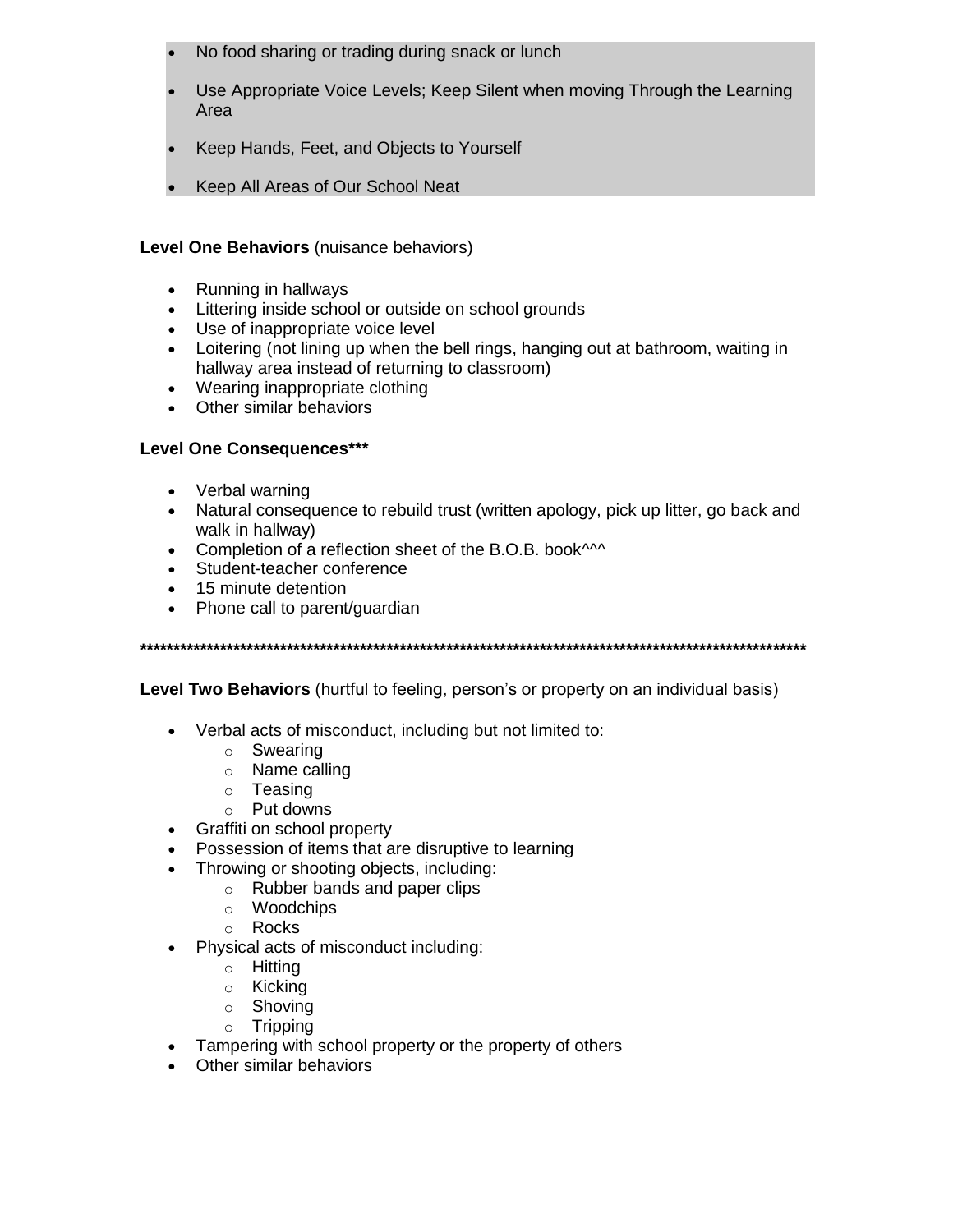- No food sharing or trading during snack or lunch
- Use Appropriate Voice Levels; Keep Silent when moving Through the Learning Area
- Keep Hands, Feet, and Objects to Yourself
- Keep All Areas of Our School Neat

# Level One Behaviors (nuisance behaviors)

- Running in hallways
- Littering inside school or outside on school grounds
- Use of inappropriate voice level
- Loitering (not lining up when the bell rings, hanging out at bathroom, waiting in hallway area instead of returning to classroom)
- Wearing inappropriate clothing
- Other similar behaviors

# Level One Consequences\*\*\*

- Verbal warning
- Natural consequence to rebuild trust (written apology, pick up litter, go back and walk in hallway)
- Completion of a reflection sheet of the B.O.B. book^^^
- Student-teacher conference
- 15 minute detention
- Phone call to parent/quardian

**Level Two Behaviors** (hurtful to feeling, person's or property on an individual basis)

- Verbal acts of misconduct, including but not limited to:
	- $\circ$  Swearing
	- $\circ$  Name calling
	- $\circ$  Teasing
	- $\circ$  Put downs
- Graffiti on school property
- Possession of items that are disruptive to learning
- Throwing or shooting objects, including:
	- $\circ$  Rubber bands and paper clips
	- o Woodchips
	- o Rocks
- Physical acts of misconduct including:
	- o Hitting
	- $\circ$  Kicking
	- $\circ$  Shoving
	- $\circ$  Tripping
- Tampering with school property or the property of others
- Other similar behaviors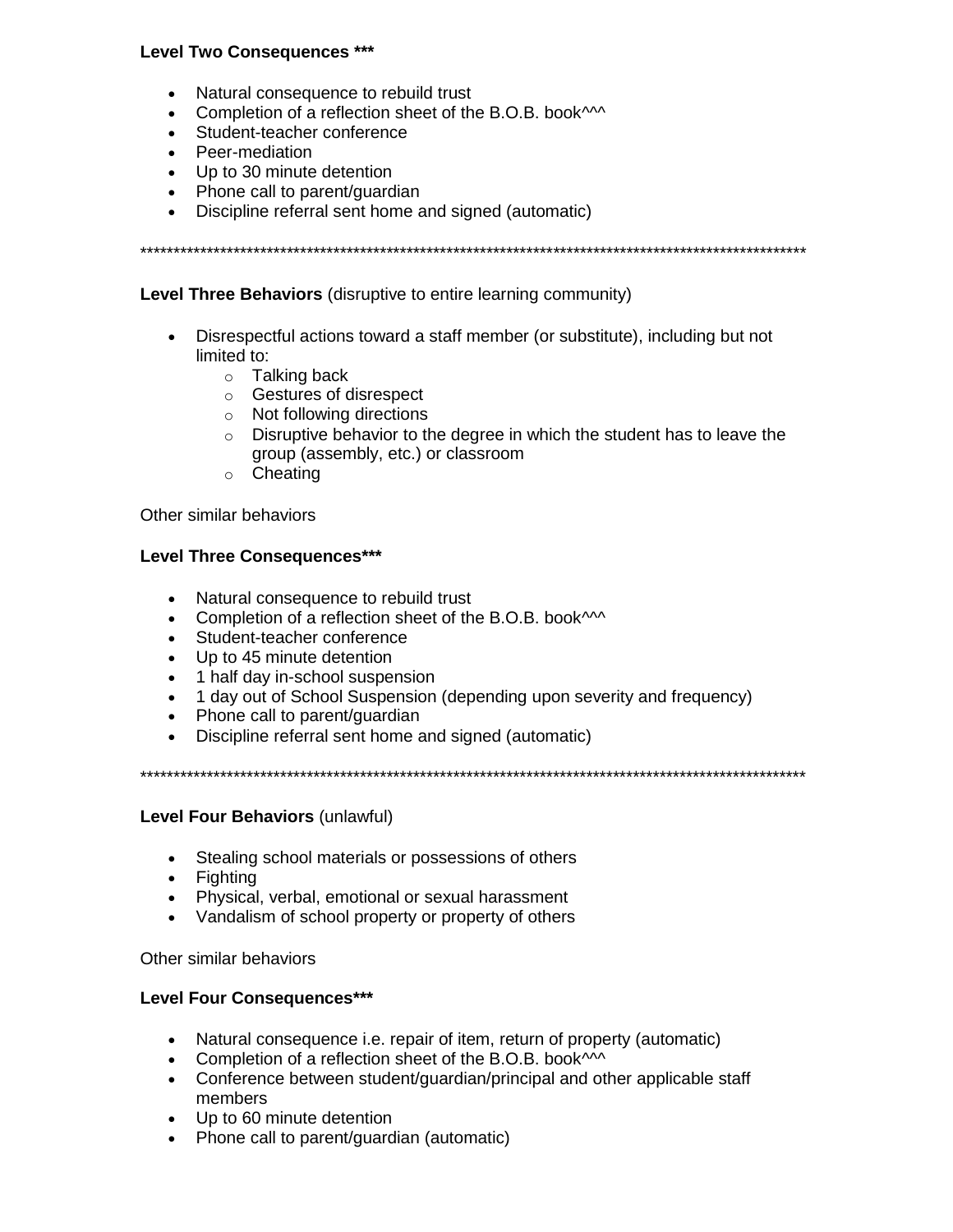## **Level Two Consequences \*\*\***

- Natural consequence to rebuild trust
- Completion of a reflection sheet of the B.O.B. book<sup>1114</sup>
- Student-teacher conference
- Peer-mediation
- Up to 30 minute detention
- Phone call to parent/quardian
- Discipline referral sent home and signed (automatic)

Level Three Behaviors (disruptive to entire learning community)

- Disrespectful actions toward a staff member (or substitute), including but not limited to:
	- $\circ$  Talking back
	- Gestures of disrespect
	- $\circ$  Not following directions
	- $\circ$  Disruptive behavior to the degree in which the student has to leave the group (assembly, etc.) or classroom
	- o Cheating

Other similar behaviors

### **Level Three Consequences\*\*\***

- Natural consequence to rebuild trust
- Completion of a reflection sheet of the B.O.B. book^^^
- Student-teacher conference
- Up to 45 minute detention
- 1 half day in-school suspension
- 1 day out of School Suspension (depending upon severity and frequency)
- Phone call to parent/guardian
- Discipline referral sent home and signed (automatic)

### Level Four Behaviors (unlawful)

- Stealing school materials or possessions of others
- Fighting
- Physical, verbal, emotional or sexual harassment
- Vandalism of school property or property of others

Other similar behaviors

### **Level Four Consequences\*\*\***

- Natural consequence i.e. repair of item, return of property (automatic)
- Completion of a reflection sheet of the B.O.B. book^^^
- Conference between student/guardian/principal and other applicable staff members
- Up to 60 minute detention
- Phone call to parent/quardian (automatic)